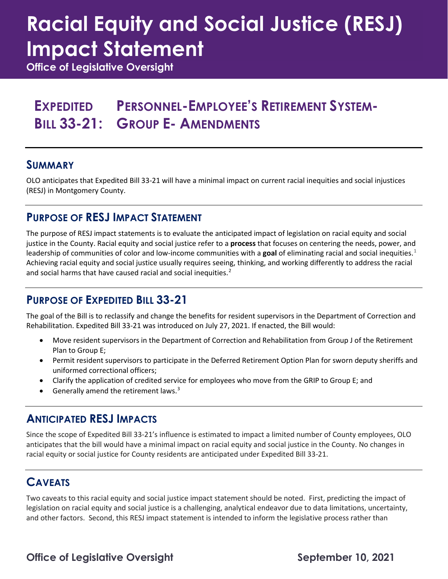# **Racial Equity and Social Justice (RESJ) Impact Statement**

**Office of Legislative Oversight**

### **EXPEDITED PERSONNEL-EMPLOYEE'S RETIREMENT SYSTEM-BILL 33-21: GROUP E- AMENDMENTS**

#### **SUMMARY**

OLO anticipates that Expedited Bill 33-21 will have a minimal impact on current racial inequities and social injustices (RESJ) in Montgomery County.

#### **PURPOSE OF RESJ IMPACT STATEMENT**

The purpose of RESJ impact statements is to evaluate the anticipated impact of legislation on racial equity and social justice in the County. Racial equity and social justice refer to a **process** that focuses on centering the needs, power, and leadership of communities of color and low-income communities with a **goal** of eliminating racial and social inequities.[1](#page-1-0) Achieving racial equity and social justice usually requires seeing, thinking, and working differently to address the racial and social harms that have caused racial and social inequities.<sup>[2](#page-1-1)</sup>

#### **PURPOSE OF EXPEDITED BILL 33-21**

The goal of the Bill is to reclassify and change the benefits for resident supervisors in the Department of Correction and Rehabilitation. Expedited Bill 33-21 was introduced on July 27, 2021. If enacted, the Bill would:

- Move resident supervisors in the Department of Correction and Rehabilitation from Group J of the Retirement Plan to Group E;
- Permit resident supervisors to participate in the Deferred Retirement Option Plan for sworn deputy sheriffs and uniformed correctional officers;
- Clarify the application of credited service for employees who move from the GRIP to Group E; and
- Generally amend the retirement laws. [3](#page-1-2)

#### **ANTICIPATED RESJ IMPACTS**

Since the scope of Expedited Bill 33-21's influence is estimated to impact a limited number of County employees, OLO anticipates that the bill would have a minimal impact on racial equity and social justice in the County. No changes in racial equity or social justice for County residents are anticipated under Expedited Bill 33-21.

#### **CAVEATS**

Two caveats to this racial equity and social justice impact statement should be noted. First, predicting the impact of legislation on racial equity and social justice is a challenging, analytical endeavor due to data limitations, uncertainty, and other factors. Second, this RESJ impact statement is intended to inform the legislative process rather than

**Office of Legislative Oversight September 10, 2021**